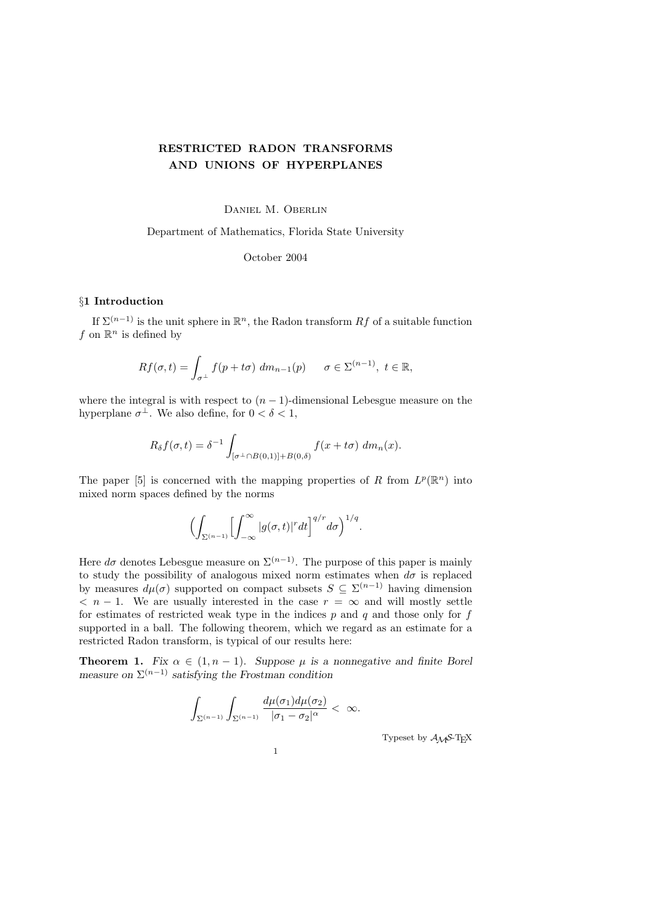# RESTRICTED RADON TRANSFORMS AND UNIONS OF HYPERPLANES

Daniel M. Oberlin

Department of Mathematics, Florida State University

October 2004

## §1 Introduction

If  $\Sigma^{(n-1)}$  is the unit sphere in  $\mathbb{R}^n$ , the Radon transform  $Rf$  of a suitable function f on  $\mathbb{R}^n$  is defined by

$$
Rf(\sigma, t) = \int_{\sigma^{\perp}} f(p + t\sigma) dm_{n-1}(p) \qquad \sigma \in \Sigma^{(n-1)}, \ t \in \mathbb{R},
$$

where the integral is with respect to  $(n-1)$ -dimensional Lebesgue measure on the hyperplane  $\sigma^{\perp}$ . We also define, for  $0 < \delta < 1$ ,

$$
R_{\delta}f(\sigma,t) = \delta^{-1} \int_{[\sigma^{\perp} \cap B(0,1)] + B(0,\delta)} f(x + t\sigma) dm_n(x).
$$

The paper [5] is concerned with the mapping properties of R from  $L^p(\mathbb{R}^n)$  into mixed norm spaces defined by the norms

$$
\Bigl(\int_{\Sigma^{(n-1)}}\Bigl[\int_{-\infty}^\infty|g(\sigma,t)|^rdt\Bigr]^{q/r}d\sigma\Bigr)^{1/q}.
$$

Here  $d\sigma$  denotes Lebesgue measure on  $\Sigma^{(n-1)}$ . The purpose of this paper is mainly to study the possibility of analogous mixed norm estimates when  $d\sigma$  is replaced by measures  $d\mu(\sigma)$  supported on compact subsets  $S \subseteq \Sigma^{(n-1)}$  having dimension  $\langle n-1. \rangle$  We are usually interested in the case  $r = \infty$  and will mostly settle for estimates of restricted weak type in the indices  $p$  and  $q$  and those only for  $f$ supported in a ball. The following theorem, which we regard as an estimate for a restricted Radon transform, is typical of our results here:

**Theorem 1.** Fix  $\alpha \in (1, n-1)$ . Suppose  $\mu$  is a nonnegative and finite Borel measure on  $\Sigma^{(n-1)}$  satisfying the Frostman condition

$$
\int_{\Sigma^{(n-1)}}\int_{\Sigma^{(n-1)}}\frac{d\mu(\sigma_1)d\mu(\sigma_2)}{|\sigma_1-\sigma_2|^{\alpha}}<\ \infty.
$$

Typeset by  $A\mathcal{M}S$ -TEX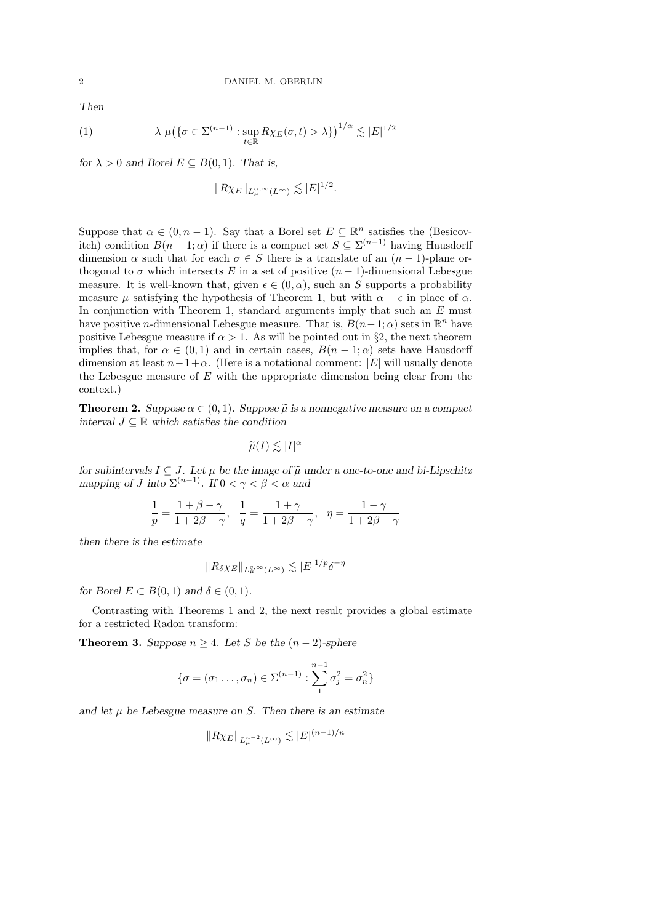Then

(1) 
$$
\lambda \mu (\{\sigma \in \Sigma^{(n-1)} : \sup_{t \in \mathbb{R}} R \chi_E(\sigma, t) > \lambda\})^{1/\alpha} \lesssim |E|^{1/2}
$$

for  $\lambda > 0$  and Borel  $E \subseteq B(0,1)$ . That is,

$$
||R\chi_E||_{L^{\alpha,\infty}_\mu(L^\infty)} \lesssim |E|^{1/2}.
$$

Suppose that  $\alpha \in (0, n-1)$ . Say that a Borel set  $E \subseteq \mathbb{R}^n$  satisfies the (Besicovitch) condition  $B(n-1;\alpha)$  if there is a compact set  $S \subseteq \Sigma^{(n-1)}$  having Hausdorff dimension  $\alpha$  such that for each  $\sigma \in S$  there is a translate of an  $(n-1)$ -plane orthogonal to  $\sigma$  which intersects E in a set of positive  $(n-1)$ -dimensional Lebesgue measure. It is well-known that, given  $\epsilon \in (0, \alpha)$ , such an S supports a probability measure  $\mu$  satisfying the hypothesis of Theorem 1, but with  $\alpha - \epsilon$  in place of  $\alpha$ . In conjunction with Theorem 1, standard arguments imply that such an  $E$  must have positive *n*-dimensional Lebesgue measure. That is,  $B(n-1;\alpha)$  sets in  $\mathbb{R}^n$  have positive Lebesgue measure if  $\alpha > 1$ . As will be pointed out in §2, the next theorem implies that, for  $\alpha \in (0,1)$  and in certain cases,  $B(n-1;\alpha)$  sets have Hausdorff dimension at least  $n-1+\alpha$ . (Here is a notational comment: |E| will usually denote the Lebesgue measure of  $E$  with the appropriate dimension being clear from the context.)

**Theorem 2.** Suppose  $\alpha \in (0,1)$ . Suppose  $\tilde{\mu}$  is a nonnegative measure on a compact interval  $J \subseteq \mathbb{R}$  which satisfies the condition

$$
\widetilde{\mu}(I) \lesssim |I|^{\alpha}
$$

for subintervals  $I \subseteq J$ . Let  $\mu$  be the image of  $\tilde{\mu}$  under a one-to-one and bi-Lipschitz mapping of J into  $\Sigma^{(n-1)}$ . If  $0 < \gamma < \beta < \alpha$  and

$$
\frac{1}{p}=\frac{1+\beta-\gamma}{1+2\beta-\gamma},\ \ \frac{1}{q}=\frac{1+\gamma}{1+2\beta-\gamma},\ \ \eta=\frac{1-\gamma}{1+2\beta-\gamma}
$$

then there is the estimate

$$
||R_{\delta}\chi_E||_{L^{q,\infty}_{\mu}(L^{\infty})} \lesssim |E|^{1/p} \delta^{-\eta}
$$

for Borel  $E \subset B(0,1)$  and  $\delta \in (0,1)$ .

Contrasting with Theorems 1 and 2, the next result provides a global estimate for a restricted Radon transform:

**Theorem 3.** Suppose  $n \geq 4$ . Let S be the  $(n-2)$ -sphere

$$
\{\sigma=(\sigma_1\ldots,\sigma_n)\in\Sigma^{(n-1)}:\sum_1^{n-1}\sigma_j^2=\sigma_n^2\}
$$

and let  $\mu$  be Lebesgue measure on S. Then there is an estimate

$$
||R\chi_E||_{L^{n-2}_\mu(L^\infty)} \lesssim |E|^{(n-1)/n}
$$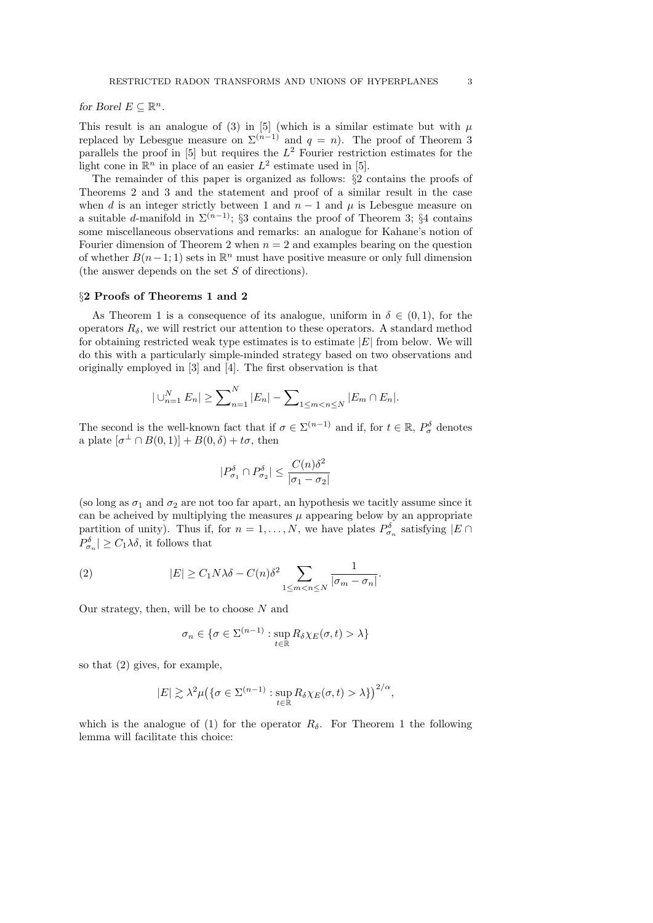for Borel  $E \subseteq \mathbb{R}^n$ .

This result is an analogue of (3) in [5] (which is a similar estimate but with  $\mu$ replaced by Lebesgue measure on  $\Sigma^{(n-1)}$  and  $q = n$ ). The proof of Theorem 3 parallels the proof in [5] but requires the  $L^2$  Fourier restriction estimates for the light cone in  $\mathbb{R}^n$  in place of an easier  $L^2$  estimate used in [5].

The remainder of this paper is organized as follows: §2 contains the proofs of Theorems 2 and 3 and the statement and proof of a similar result in the case when d is an integer strictly between 1 and  $n-1$  and  $\mu$  is Lebesgue measure on a suitable d-manifold in  $\Sigma^{(n-1)}$ ; §3 contains the proof of Theorem 3; §4 contains some miscellaneous observations and remarks: an analogue for Kahane's notion of Fourier dimension of Theorem 2 when  $n = 2$  and examples bearing on the question of whether  $B(n-1; 1)$  sets in  $\mathbb{R}^n$  must have positive measure or only full dimension (the answer depends on the set S of directions).

#### §2 Proofs of Theorems 1 and 2

As Theorem 1 is a consequence of its analogue, uniform in  $\delta \in (0,1)$ , for the operators  $R_{\delta}$ , we will restrict our attention to these operators. A standard method for obtaining restricted weak type estimates is to estimate  $|E|$  from below. We will do this with a particularly simple-minded strategy based on two observations and originally employed in [3] and [4]. The first observation is that

$$
|\bigcup_{n=1}^{N} E_n| \geq \sum_{n=1}^{N} |E_n| - \sum_{1 \leq m < n \leq N} |E_m \cap E_n|.
$$

The second is the well-known fact that if  $\sigma \in \Sigma^{(n-1)}$  and if, for  $t \in \mathbb{R}$ ,  $P^{\delta}_{\sigma}$  denotes a plate  $[\sigma^{\perp} \cap B(0,1)] + B(0,\delta) + t\sigma$ , then

$$
|P^{\delta}_{\sigma_1} \cap P^{\delta}_{\sigma_2}| \leq \frac{C(n)\delta^2}{|\sigma_1 - \sigma_2|}
$$

(so long as  $\sigma_1$  and  $\sigma_2$  are not too far apart, an hypothesis we tacitly assume since it can be acheived by multiplying the measures  $\mu$  appearing below by an appropriate partition of unity). Thus if, for  $n = 1, ..., N$ , we have plates  $P^{\delta}_{\sigma_n}$  satisfying  $|E \cap$  $P^{\delta}_{\sigma_n}$  |  $\geq C_1 \lambda \delta$ , it follows that

(2) 
$$
|E| \ge C_1 N \lambda \delta - C(n) \delta^2 \sum_{1 \le m < n \le N} \frac{1}{|\sigma_m - \sigma_n|}.
$$

Our strategy, then, will be to choose  $N$  and

$$
\sigma_n \in \{ \sigma \in \Sigma^{(n-1)} : \sup_{t \in \mathbb{R}} R_{\delta} \chi_E(\sigma, t) > \lambda \}
$$

so that (2) gives, for example,

$$
|E| \gtrsim \lambda^2 \mu \big( \{ \sigma \in \Sigma^{(n-1)} : \sup_{t \in \mathbb{R}} R_{\delta} \chi_E(\sigma, t) > \lambda \} \big)^{2/\alpha},
$$

which is the analogue of (1) for the operator  $R_{\delta}$ . For Theorem 1 the following lemma will facilitate this choice: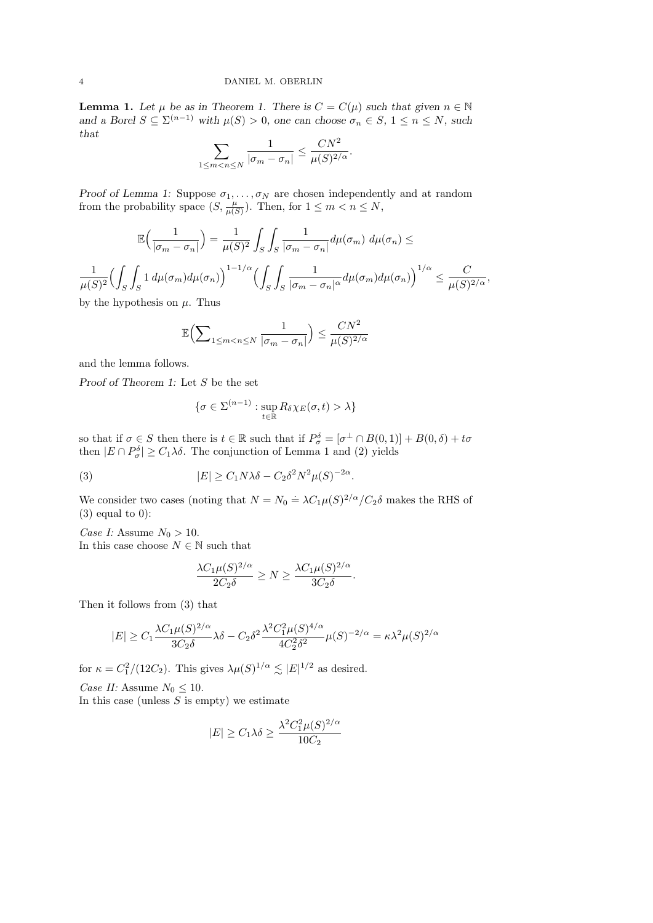**Lemma 1.** Let  $\mu$  be as in Theorem 1. There is  $C = C(\mu)$  such that given  $n \in \mathbb{N}$ and a Borel  $S \subseteq \Sigma^{(n-1)}$  with  $\mu(S) > 0$ , one can choose  $\sigma_n \in S$ ,  $1 \leq n \leq N$ , such that

$$
\sum_{1 \le m < n \le N} \frac{1}{|\sigma_m - \sigma_n|} \le \frac{CN^2}{\mu(S)^{2/\alpha}}.
$$

Proof of Lemma 1: Suppose  $\sigma_1, \ldots, \sigma_N$  are chosen independently and at random from the probability space  $(S, \frac{\mu}{\mu(S)})$ . Then, for  $1 \leq m < n \leq N$ ,

$$
\mathbb{E}\left(\frac{1}{|\sigma_m - \sigma_n|}\right) = \frac{1}{\mu(S)^2} \int_S \int_S \frac{1}{|\sigma_m - \sigma_n|} d\mu(\sigma_m) d\mu(\sigma_n) \le
$$

$$
\frac{1}{\mu(S)^2} \Biggl( \int_S \int_S 1 \, d\mu(\sigma_m) d\mu(\sigma_n) \Biggr)^{1-1/\alpha} \Biggl( \int_S \int_S \frac{1}{|\sigma_m - \sigma_n|^{\alpha}} d\mu(\sigma_m) d\mu(\sigma_n) \Biggr)^{1/\alpha} \leq \frac{C}{\mu(S)^{2/\alpha}},
$$
 by the hypothesis on  $\mu$ . Thus

by the hypothesis on  $\mu$ . Thus

$$
\mathbb{E}\Big(\sum\nolimits_{1\leq m
$$

and the lemma follows.

Proof of Theorem 1: Let S be the set

$$
\{\sigma \in \Sigma^{(n-1)} : \sup_{t \in \mathbb{R}} R_{\delta} \chi_E(\sigma, t) > \lambda\}
$$

so that if  $\sigma \in S$  then there is  $t \in \mathbb{R}$  such that if  $P_{\sigma}^{\delta} = [\sigma^{\perp} \cap B(0,1)] + B(0,\delta) + t\sigma$ then  $|E \cap P_{\sigma}^{\delta}| \geq C_1 \lambda \delta$ . The conjunction of Lemma 1 and (2) yields

(3) 
$$
|E| \geq C_1 N \lambda \delta - C_2 \delta^2 N^2 \mu(S)^{-2\alpha}.
$$

We consider two cases (noting that  $N = N_0 \doteq \lambda C_1 \mu(S)^{2/\alpha} / C_2 \delta$  makes the RHS of  $(3)$  equal to 0):

Case I: Assume  $N_0 > 10$ . In this case choose  $N\in\mathbb{N}$  such that

$$
\frac{\lambda C_1 \mu(S)^{2/\alpha}}{2C_2 \delta} \ge N \ge \frac{\lambda C_1 \mu(S)^{2/\alpha}}{3C_2 \delta}.
$$

Then it follows from (3) that

$$
|E| \ge C_1 \frac{\lambda C_1 \mu(S)^{2/\alpha}}{3C_2 \delta} \lambda \delta - C_2 \delta^2 \frac{\lambda^2 C_1^2 \mu(S)^{4/\alpha}}{4C_2^2 \delta^2} \mu(S)^{-2/\alpha} = \kappa \lambda^2 \mu(S)^{2/\alpha}
$$

for  $\kappa = C_1^2/(12C_2)$ . This gives  $\lambda \mu(S)^{1/\alpha} \lesssim |E|^{1/2}$  as desired.

Case II: Assume  $N_0 \leq 10$ . In this case (unless  $S$  is empty) we estimate

$$
|E| \ge C_1 \lambda \delta \ge \frac{\lambda^2 C_1^2 \mu(S)^{2/\alpha}}{10C_2}
$$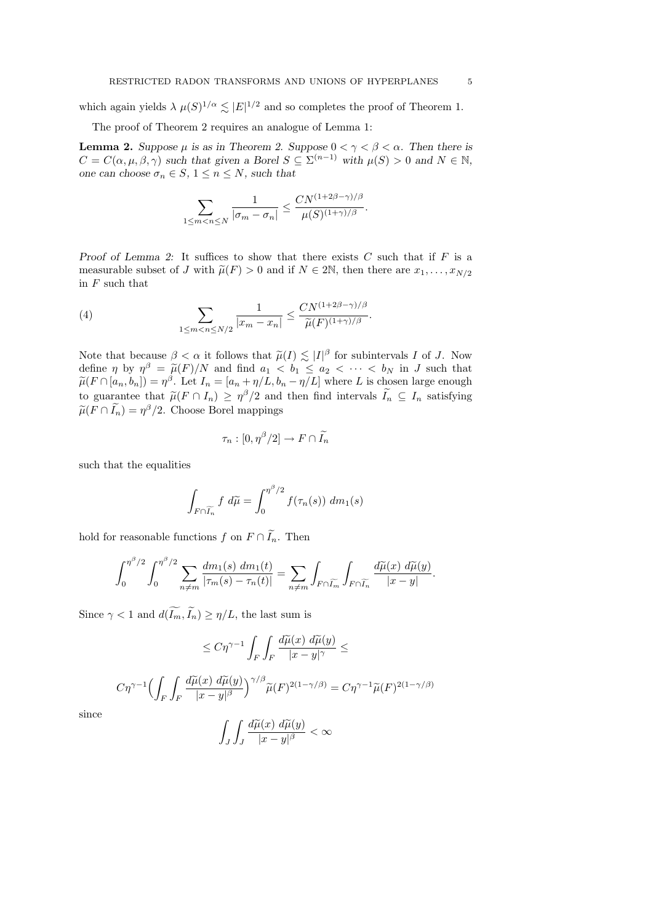which again yields  $\lambda \mu(S)^{1/\alpha} \lesssim |E|^{1/2}$  and so completes the proof of Theorem 1.

The proof of Theorem 2 requires an analogue of Lemma 1:

**Lemma 2.** Suppose  $\mu$  is as in Theorem 2. Suppose  $0 < \gamma < \beta < \alpha$ . Then there is  $C = C(\alpha, \mu, \beta, \gamma)$  such that given a Borel  $S \subseteq \Sigma^{(n-1)}$  with  $\mu(S) > 0$  and  $N \in \mathbb{N}$ , one can choose  $\sigma_n \in S$ ,  $1 \leq n \leq N$ , such that

$$
\sum_{1 \le m < n \le N} \frac{1}{|\sigma_m - \sigma_n|} \le \frac{CN^{(1+2\beta - \gamma)/\beta}}{\mu(S)^{(1+\gamma)/\beta}}.
$$

Proof of Lemma 2: It suffices to show that there exists  $C$  such that if  $F$  is a measurable subset of J with  $\tilde{\mu}(F) > 0$  and if  $N \in 2\mathbb{N}$ , then there are  $x_1, \ldots, x_{N/2}$ in  $F$  such that

(4) 
$$
\sum_{1 \leq m < n \leq N/2} \frac{1}{|x_m - x_n|} \leq \frac{CN^{(1+2\beta-\gamma)/\beta}}{\widetilde{\mu}(F)^{(1+\gamma)/\beta}}.
$$

Note that because  $\beta < \alpha$  it follows that  $\tilde{\mu}(I) \lesssim |I|^{\beta}$  for subintervals I of J. Now define  $\eta$  by  $\eta^{\beta} = \tilde{\mu}(F)/N$  and find  $a_1 < b_1 \le a_2 < \cdots < b_N$  in J such that  $\tilde{\mu}(F \cap [a, b]) = n^{\beta}$ . Let  $I = [a, \pm n/L, b] = n/L$  where L is chosen large enough  $\widetilde{\mu}(F \cap [a_n, b_n]) = \eta^{\beta}$ . Let  $I_n = [a_n + \eta/L, b_n - \eta/L]$  where L is chosen large enough the guarantee that  $\widetilde{\mu}(F \cap I_n) \geq \eta^{\beta}$  and then find intervals  $\widetilde{L} \subseteq I_n$  estigning to guarantee that  $\tilde{\mu}(F \cap I_n) \ge \eta^{\beta}/2$  and then find intervals  $\tilde{I}_n \subseteq I_n$  satisfying  $\widetilde{\mu}(F \cap \widetilde{I_n}) = \eta^{\beta}/2$ . Choose Borel mappings

$$
\tau_n : [0, \eta^{\beta}/2] \to F \cap \widetilde{I_n}
$$

such that the equalities

$$
\int_{F \cap \widetilde{I_n}} f \ d\widetilde{\mu} = \int_0^{\eta^{\beta}/2} f(\tau_n(s)) \ dm_1(s)
$$

hold for reasonable functions f on  $F \cap \widetilde{I}_n$ . Then

$$
\int_0^{\eta^{\beta}/2} \int_0^{\eta^{\beta}/2} \sum_{n \neq m} \frac{dm_1(s) \ dm_1(t)}{|\tau_m(s) - \tau_n(t)|} = \sum_{n \neq m} \int_{F \cap \widetilde{I_m}} \int_{F \cap \widetilde{I_n}} \frac{d\widetilde{\mu}(x) \ d\widetilde{\mu}(y)}{|x - y|}.
$$

Since  $\gamma < 1$  and  $d(\widetilde{I_m}, \widetilde{I_n}) \geq \eta/L$ , the last sum is

$$
\leq C\eta^{\gamma-1} \int_F \int_F \frac{d\widetilde{\mu}(x) \ d\widetilde{\mu}(y)}{|x-y|^\gamma} \leq
$$
  

$$
C\eta^{\gamma-1} \Biggl(\int_F \int_F \frac{d\widetilde{\mu}(x) \ d\widetilde{\mu}(y)}{|x-y|^\beta}\Biggr)^{\gamma/\beta} \widetilde{\mu}(F)^{2(1-\gamma/\beta)} = C\eta^{\gamma-1} \widetilde{\mu}(F)^{2(1-\gamma/\beta)}
$$

since

$$
\int_J \int_J \frac{d\widetilde{\mu}(x) \ d\widetilde{\mu}(y)}{|x-y|^\beta} < \infty
$$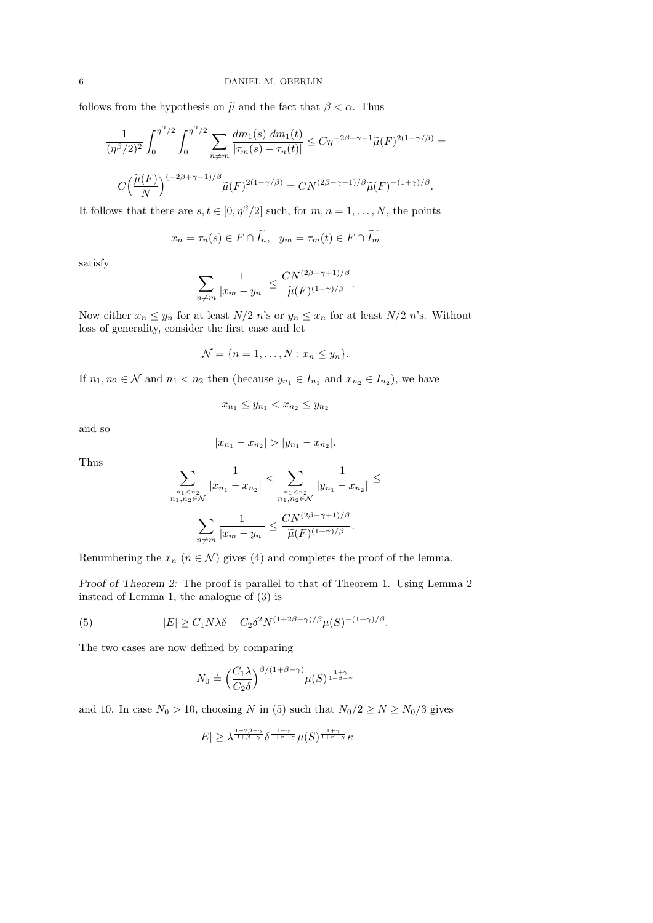follows from the hypothesis on  $\tilde{\mu}$  and the fact that  $\beta < \alpha$ . Thus

$$
\frac{1}{(\eta^{\beta}/2)^2} \int_0^{\eta^{\beta}/2} \int_0^{\eta^{\beta}/2} \sum_{n \neq m} \frac{dm_1(s) \, dm_1(t)}{|\tau_m(s) - \tau_n(t)|} \leq C \eta^{-2\beta + \gamma - 1} \widetilde{\mu}(F)^{2(1 - \gamma/\beta)} =
$$
  

$$
C \Big(\frac{\widetilde{\mu}(F)}{N}\Big)^{(-2\beta + \gamma - 1)/\beta} \widetilde{\mu}(F)^{2(1 - \gamma/\beta)} = C N^{(2\beta - \gamma + 1)/\beta} \widetilde{\mu}(F)^{-(1 + \gamma)/\beta}.
$$

It follows that there are  $s, t \in [0, \eta^{\beta}/2]$  such, for  $m, n = 1, ..., N$ , the points

$$
x_n = \tau_n(s) \in F \cap \widetilde{I}_n, \ \ y_m = \tau_m(t) \in F \cap \widetilde{I_m}
$$

satisfy

$$
\sum_{n \neq m} \frac{1}{|x_m - y_n|} \leq \frac{CN^{(2\beta - \gamma + 1)/\beta}}{\widetilde{\mu}(F)^{(1+\gamma)/\beta}}.
$$

Now either  $x_n \leq y_n$  for at least  $N/2$  n's or  $y_n \leq x_n$  for at least  $N/2$  n's. Without loss of generality, consider the first case and let

$$
\mathcal{N} = \{n = 1, \ldots, N : x_n \leq y_n\}.
$$

If  $n_1, n_2 \in \mathcal{N}$  and  $n_1 < n_2$  then (because  $y_{n_1} \in I_{n_1}$  and  $x_{n_2} \in I_{n_2}$ ), we have

$$
x_{n_1} \le y_{n_1} < x_{n_2} \le y_{n_2}
$$

and so

$$
|x_{n_1} - x_{n_2}| > |y_{n_1} - x_{n_2}|.
$$

Thus

$$
\sum_{\substack{n_1 < n_2 \\ n_1, n_2 \in \mathcal{N}}} \frac{1}{|x_{n_1} - x_{n_2}|} < \sum_{\substack{n_1 < n_2 \\ n_1, n_2 \in \mathcal{N}}} \frac{1}{|y_{n_1} - x_{n_2}|} \leq
$$
\n
$$
\sum_{n \neq m} \frac{1}{|x_m - y_n|} \leq \frac{CN^{(2\beta - \gamma + 1)/\beta}}{\widetilde{\mu}(F)^{(1 + \gamma)/\beta}}.
$$

Renumbering the  $x_n$   $(n \in \mathcal{N})$  gives (4) and completes the proof of the lemma.

Proof of Theorem 2: The proof is parallel to that of Theorem 1. Using Lemma 2 instead of Lemma 1, the analogue of (3) is

(5) 
$$
|E| \geq C_1 N \lambda \delta - C_2 \delta^2 N^{(1+2\beta-\gamma)/\beta} \mu(S)^{-(1+\gamma)/\beta}.
$$

The two cases are now defined by comparing

$$
N_0 \doteq \Big(\frac{C_1\lambda}{C_2\delta}\Big)^{\beta/(1+\beta-\gamma)}\mu(S)^{\frac{1+\gamma}{1+\beta-\gamma}}
$$

and 10. In case  $N_0 > 10$ , choosing N in (5) such that  $N_0/2 \ge N \ge N_0/3$  gives

$$
|E| \geq \lambda^{\frac{1+2\beta-\gamma}{1+\beta-\gamma}} \delta^{\frac{1-\gamma}{1+\beta-\gamma}} \mu(S)^{\frac{1+\gamma}{1+\beta-\gamma}} \kappa
$$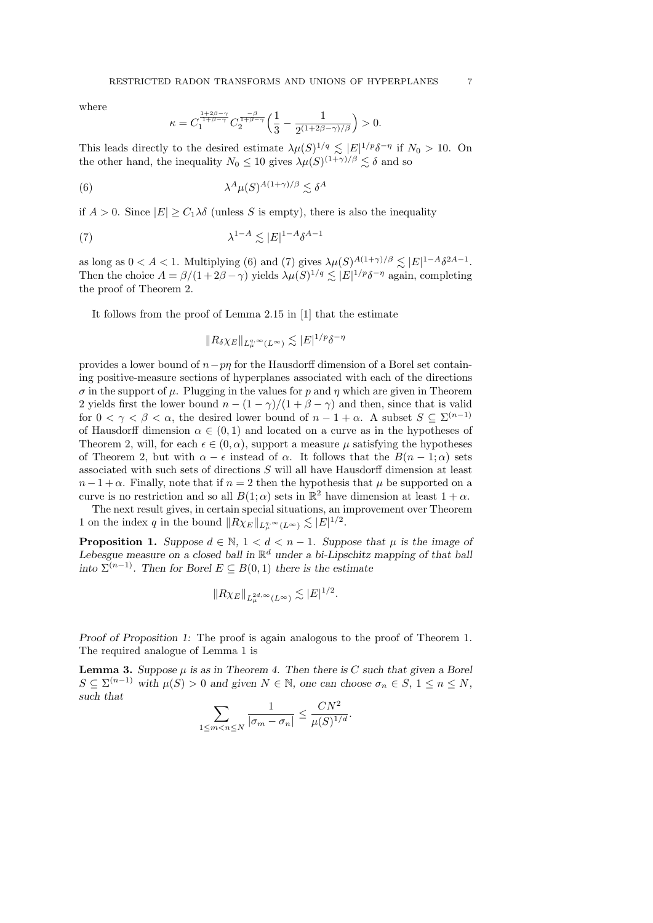where

$$
\kappa = C_1^{\frac{1+2\beta-\gamma}{1+\beta-\gamma}} C_2^{\frac{-\beta}{1+\beta-\gamma}} \Big( \frac{1}{3} - \frac{1}{2^{(1+2\beta-\gamma)/\beta}} \Big) > 0.
$$

This leads directly to the desired estimate  $\lambda \mu(S)^{1/q} \lesssim |E|^{1/p} \delta^{-\eta}$  if  $N_0 > 10$ . On the other hand, the inequality  $N_0 \leq 10$  gives  $\lambda \mu(S)^{(1+\gamma)/\beta} \lesssim \delta$  and so

(6) 
$$
\lambda^A \mu(S)^{A(1+\gamma)/\beta} \lesssim \delta^A
$$

if  $A > 0$ . Since  $|E| > C_1 \lambda \delta$  (unless S is empty), there is also the inequality

(7) 
$$
\lambda^{1-A} \lesssim |E|^{1-A} \delta^{A-1}
$$

as long as  $0 < A < 1$ . Multiplying (6) and (7) gives  $\lambda \mu(S)^{A(1+\gamma)/\beta} \lesssim |E|^{1-A} \delta^{2A-1}$ . Then the choice  $A = \beta/(1+2\beta-\gamma)$  yields  $\lambda\mu(S)^{1/q} \lesssim |E|^{1/p} \delta^{-\eta}$  again, completing the proof of Theorem 2.

It follows from the proof of Lemma 2.15 in [1] that the estimate

$$
||R_{\delta}\chi_E||_{L^{q,\infty}_{\mu}(L^{\infty})} \lesssim |E|^{1/p} \delta^{-\eta}
$$

provides a lower bound of  $n-p\eta$  for the Hausdorff dimension of a Borel set containing positive-measure sections of hyperplanes associated with each of the directions  $\sigma$  in the support of  $\mu$ . Plugging in the values for p and  $\eta$  which are given in Theorem 2 yields first the lower bound  $n - (1 - \gamma)/(1 + \beta - \gamma)$  and then, since that is valid for  $0 < \gamma < \beta < \alpha$ , the desired lower bound of  $n - 1 + \alpha$ . A subset  $S \subseteq \Sigma^{(n-1)}$ of Hausdorff dimension  $\alpha \in (0, 1)$  and located on a curve as in the hypotheses of Theorem 2, will, for each  $\epsilon \in (0, \alpha)$ , support a measure  $\mu$  satisfying the hypotheses of Theorem 2, but with  $\alpha - \epsilon$  instead of  $\alpha$ . It follows that the  $B(n-1;\alpha)$  sets associated with such sets of directions S will all have Hausdorff dimension at least  $n-1+\alpha$ . Finally, note that if  $n=2$  then the hypothesis that  $\mu$  be supported on a curve is no restriction and so all  $B(1;\alpha)$  sets in  $\mathbb{R}^2$  have dimension at least  $1+\alpha$ .

The next result gives, in certain special situations, an improvement over Theorem 1 on the index q in the bound  $||R\chi_E||_{L^q_\mu,\infty}(L^\infty) \lesssim |E|^{1/2}$ .

**Proposition 1.** Suppose  $d \in \mathbb{N}$ ,  $1 < d < n - 1$ . Suppose that  $\mu$  is the image of Lebesgue measure on a closed ball in  $\mathbb{R}^d$  under a bi-Lipschitz mapping of that ball into  $\Sigma^{(n-1)}$ . Then for Borel  $E \subseteq B(0,1)$  there is the estimate

$$
||R\chi_E||_{L^{2d,\infty}_\mu(L^\infty)} \lesssim |E|^{1/2}.
$$

Proof of Proposition 1: The proof is again analogous to the proof of Theorem 1. The required analogue of Lemma 1 is

**Lemma 3.** Suppose  $\mu$  is as in Theorem 4. Then there is C such that given a Borel  $S \subseteq \Sigma^{(n-1)}$  with  $\mu(S) > 0$  and given  $N \in \mathbb{N}$ , one can choose  $\sigma_n \in S$ ,  $1 \leq n \leq N$ , such that

$$
\sum_{1 \le m < n \le N} \frac{1}{|\sigma_m - \sigma_n|} \le \frac{CN^2}{\mu(S)^{1/d}}.
$$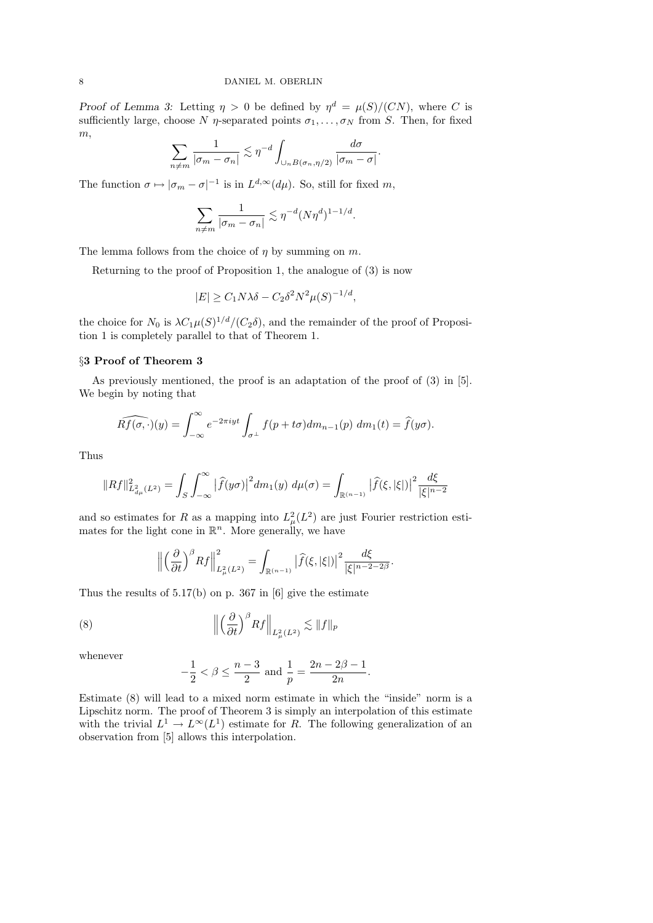Proof of Lemma 3: Letting  $\eta > 0$  be defined by  $\eta^d = \mu(S)/(CN)$ , where C is sufficiently large, choose N  $\eta$ -separated points  $\sigma_1, \ldots, \sigma_N$  from S. Then, for fixed  $m,$ 

$$
\sum_{n \neq m} \frac{1}{|\sigma_m - \sigma_n|} \lesssim \eta^{-d} \int_{\cup_n B(\sigma_n, \eta/2)} \frac{d\sigma}{|\sigma_m - \sigma|}
$$

.

The function  $\sigma \mapsto |\sigma_m - \sigma|^{-1}$  is in  $L^{d,\infty}(d\mu)$ . So, still for fixed m,

$$
\sum_{n \neq m} \frac{1}{|\sigma_m - \sigma_n|} \lesssim \eta^{-d} (N\eta^d)^{1 - 1/d}.
$$

The lemma follows from the choice of  $\eta$  by summing on  $m$ .

Returning to the proof of Proposition 1, the analogue of (3) is now

$$
|E| \ge C_1 N \lambda \delta - C_2 \delta^2 N^2 \mu(S)^{-1/d},
$$

the choice for  $N_0$  is  $\lambda C_1 \mu(S)^{1/d} / (C_2 \delta)$ , and the remainder of the proof of Proposition 1 is completely parallel to that of Theorem 1.

### §3 Proof of Theorem 3

As previously mentioned, the proof is an adaptation of the proof of  $(3)$  in [5]. We begin by noting that

$$
\widehat{Rf(\sigma,\cdot)}(y) = \int_{-\infty}^{\infty} e^{-2\pi i y t} \int_{\sigma^{\perp}} f(p + t\sigma) dm_{n-1}(p) dm_1(t) = \widehat{f}(y\sigma).
$$

Thus

$$
||Rf||_{L^2_{d\mu}(L^2)}^2 = \int_S \int_{-\infty}^{\infty} \left| \widehat{f}(y\sigma) \right|^2 dm_1(y) \ d\mu(\sigma) = \int_{\mathbb{R}^{(n-1)}} \left| \widehat{f}(\xi, |\xi|) \right|^2 \frac{d\xi}{|\xi|^{n-2}}
$$

and so estimates for R as a mapping into  $L^2_{\mu}(L^2)$  are just Fourier restriction estimates for the light cone in  $\mathbb{R}^n$ . More generally, we have

$$
\left\| \left( \frac{\partial}{\partial t} \right)^{\beta} Rf \right\|_{L^2_{\mu}(L^2)}^2 = \int_{\mathbb{R}^{(n-1)}} \left| \widehat{f}(\xi, |\xi|) \right|^2 \frac{d\xi}{|\xi|^{n-2-2\beta}}.
$$

Thus the results of  $5.17(b)$  on p. 367 in [6] give the estimate

(8) 
$$
\left\| \left( \frac{\partial}{\partial t} \right)^{\beta} R f \right\|_{L^2_{\mu}(L^2)} \lesssim \| f \|_p
$$

whenever

$$
-\frac{1}{2} < \beta \le \frac{n-3}{2} \text{ and } \frac{1}{p} = \frac{2n - 2\beta - 1}{2n}.
$$

Estimate (8) will lead to a mixed norm estimate in which the "inside" norm is a Lipschitz norm. The proof of Theorem 3 is simply an interpolation of this estimate with the trivial  $L^1 \to L^{\infty}(L^1)$  estimate for R. The following generalization of an observation from [5] allows this interpolation.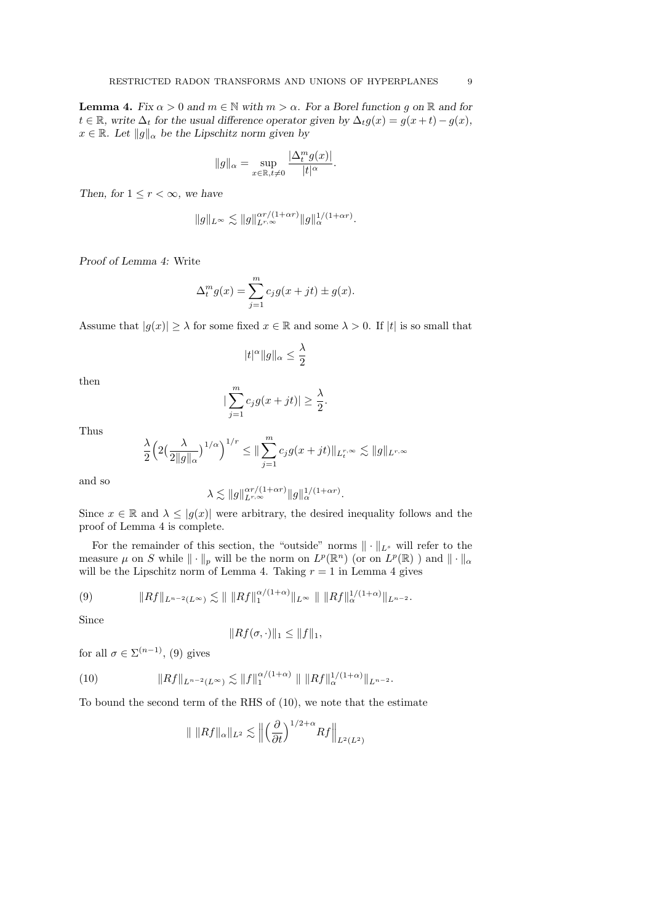**Lemma 4.** Fix  $\alpha > 0$  and  $m \in \mathbb{N}$  with  $m > \alpha$ . For a Borel function g on  $\mathbb{R}$  and for  $t \in \mathbb{R}$ , write  $\Delta_t$  for the usual difference operator given by  $\Delta_t g(x) = g(x+t) - g(x)$ ,  $x \in \mathbb{R}$ . Let  $||g||_{\alpha}$  be the Lipschitz norm given by

$$
||g||_{\alpha} = \sup_{x \in \mathbb{R}, t \neq 0} \frac{|\Delta_t^m g(x)|}{|t|^{\alpha}}.
$$

Then, for  $1 \leq r < \infty$ , we have

$$
||g||_{L^{\infty}} \lesssim ||g||_{L^{r,\infty}}^{\alpha r/(1+\alpha r)} ||g||_{\alpha}^{1/(1+\alpha r)}.
$$

Proof of Lemma 4: Write

$$
\Delta_t^m g(x) = \sum_{j=1}^m c_j g(x + jt) \pm g(x).
$$

Assume that  $|g(x)| \geq \lambda$  for some fixed  $x \in \mathbb{R}$  and some  $\lambda > 0$ . If  $|t|$  is so small that

$$
|t|^{\alpha}||g||_{\alpha} \le \frac{\lambda}{2}
$$

then

$$
|\sum_{j=1}^{m} c_j g(x+jt)| \geq \frac{\lambda}{2}.
$$

Thus

$$
\frac{\lambda}{2} \Big( 2 \big( \frac{\lambda}{2 \|g\|_{\alpha}} \big)^{1/\alpha} \Big)^{1/r} \leq \| \sum_{j=1}^{m} c_j g(x+jt) \|_{L_t^{r,\infty}} \lesssim \|g\|_{L^{r,\infty}}
$$

and so

$$
\lambda \lesssim \|g\|_{L^{r,\infty}}^{\alpha r/(1+\alpha r)} \|g\|_\alpha^{1/(1+\alpha r)}.
$$

Since  $x \in \mathbb{R}$  and  $\lambda \leq |g(x)|$  were arbitrary, the desired inequality follows and the proof of Lemma 4 is complete.

For the remainder of this section, the "outside" norms  $\|\cdot\|_{L^s}$  will refer to the measure  $\mu$  on S while  $\|\cdot\|_p$  will be the norm on  $L^p(\mathbb{R}^n)$  (or on  $L^p(\mathbb{R})$ ) and  $\|\cdot\|_{\alpha}$ will be the Lipschitz norm of Lemma 4. Taking  $r = 1$  in Lemma 4 gives

(9) 
$$
||Rf||_{L^{n-2}(L^{\infty})} \lesssim ||Rf||_1^{\alpha/(1+\alpha)}||_{L^{\infty}} ||Rf||_{\alpha}^{1/(1+\alpha)}||_{L^{n-2}}.
$$

Since

$$
||Rf(\sigma,\cdot)||_1 \leq ||f||_1,
$$

for all  $\sigma \in \Sigma^{(n-1)}$ , (9) gives

(10) 
$$
||Rf||_{L^{n-2}(L^{\infty})} \lesssim ||f||_1^{\alpha/(1+\alpha)} ||Rf||_{\alpha}^{1/(1+\alpha)}||_{L^{n-2}}.
$$

To bound the second term of the RHS of (10), we note that the estimate

$$
\| \|Rf\|_{\alpha}\|_{L^2} \lesssim \left\| \left(\frac{\partial}{\partial t}\right)^{1/2+\alpha} Rf \right\|_{L^2(L^2)}
$$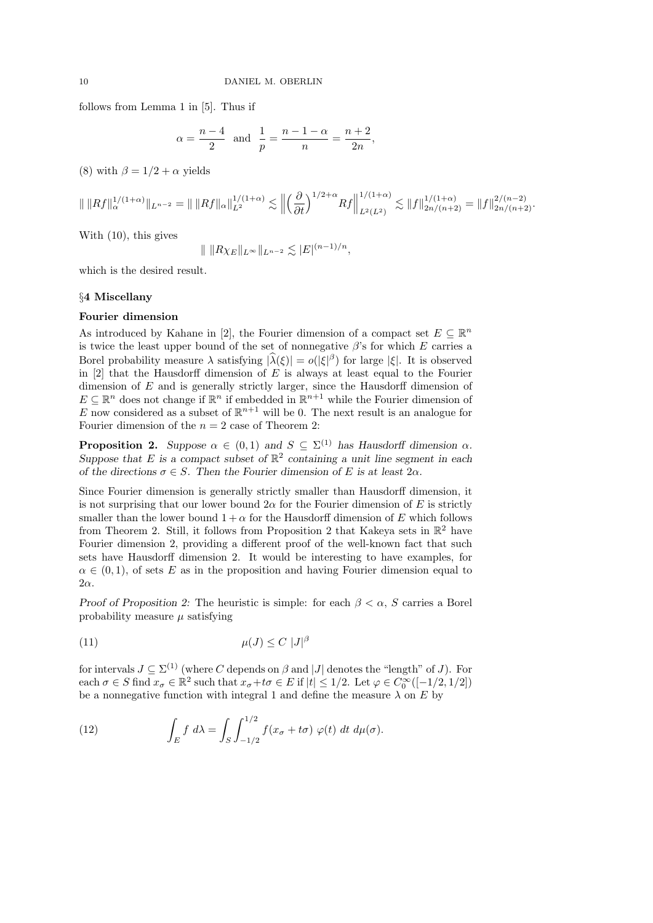follows from Lemma 1 in [5]. Thus if

$$
\alpha = \frac{n-4}{2}
$$
 and  $\frac{1}{p} = \frac{n-1-\alpha}{n} = \frac{n+2}{2n}$ ,

(8) with  $\beta = 1/2 + \alpha$  yields

$$
\| \|Rf\|_{\alpha}^{1/(1+\alpha)} \|_{L^{n-2}} = \| \|Rf\|_{\alpha} \|_{L^{2}}^{1/(1+\alpha)} \lesssim \left\| \left(\frac{\partial}{\partial t}\right)^{1/2+\alpha} Rf \right\|_{L^{2}(L^{2})}^{1/(1+\alpha)} \lesssim \|f\|_{2n/(n+2)}^{1/(1+\alpha)} = \|f\|_{2n/(n+2)}^{2/(n-2)}.
$$

With (10), this gives

$$
\| \| R\chi_E \|_{L^\infty} \|_{L^{n-2}} \lesssim |E|^{(n-1)/n},
$$

which is the desired result.

### §4 Miscellany

## Fourier dimension

As introduced by Kahane in [2], the Fourier dimension of a compact set  $E \subseteq \mathbb{R}^n$ is twice the least upper bound of the set of nonnegative  $\beta$ 's for which E carries a Borel probability measure  $\lambda$  satisfying  $|\hat{\lambda}(\xi)| = o(|\xi|^{\beta})$  for large  $|\xi|$ . It is observed in  $[2]$  that the Hausdorff dimension of E is always at least equal to the Fourier dimension of  $E$  and is generally strictly larger, since the Hausdorff dimension of  $E \subseteq \mathbb{R}^n$  does not change if  $\mathbb{R}^n$  if embedded in  $\mathbb{R}^{n+1}$  while the Fourier dimension of E now considered as a subset of  $\mathbb{R}^{n+1}$  will be 0. The next result is an analogue for Fourier dimension of the  $n = 2$  case of Theorem 2:

**Proposition 2.** Suppose  $\alpha \in (0,1)$  and  $S \subseteq \Sigma^{(1)}$  has Hausdorff dimension  $\alpha$ . Suppose that E is a compact subset of  $\mathbb{R}^2$  containing a unit line segment in each of the directions  $\sigma \in S$ . Then the Fourier dimension of E is at least  $2\alpha$ .

Since Fourier dimension is generally strictly smaller than Hausdorff dimension, it is not surprising that our lower bound  $2\alpha$  for the Fourier dimension of E is strictly smaller than the lower bound  $1 + \alpha$  for the Hausdorff dimension of E which follows from Theorem 2. Still, it follows from Proposition 2 that Kakeya sets in  $\mathbb{R}^2$  have Fourier dimension 2, providing a different proof of the well-known fact that such sets have Hausdorff dimension 2. It would be interesting to have examples, for  $\alpha \in (0,1)$ , of sets E as in the proposition and having Fourier dimension equal to  $2\alpha$ .

Proof of Proposition 2: The heuristic is simple: for each  $\beta < \alpha$ , S carries a Borel probability measure  $\mu$  satisfying

$$
\mu(J) \le C \ |J|^{\beta}
$$

for intervals  $J \subseteq \Sigma^{(1)}$  (where C depends on  $\beta$  and  $|J|$  denotes the "length" of J). For each  $\sigma \in S$  find  $x_{\sigma} \in \mathbb{R}^2$  such that  $x_{\sigma} + t\sigma \in E$  if  $|t| \leq 1/2$ . Let  $\varphi \in C_0^{\infty}([-1/2, 1/2])$ be a nonnegative function with integral 1 and define the measure  $\lambda$  on E by

(12) 
$$
\int_E f \ d\lambda = \int_S \int_{-1/2}^{1/2} f(x_\sigma + t\sigma) \ \varphi(t) \ dt \ d\mu(\sigma).
$$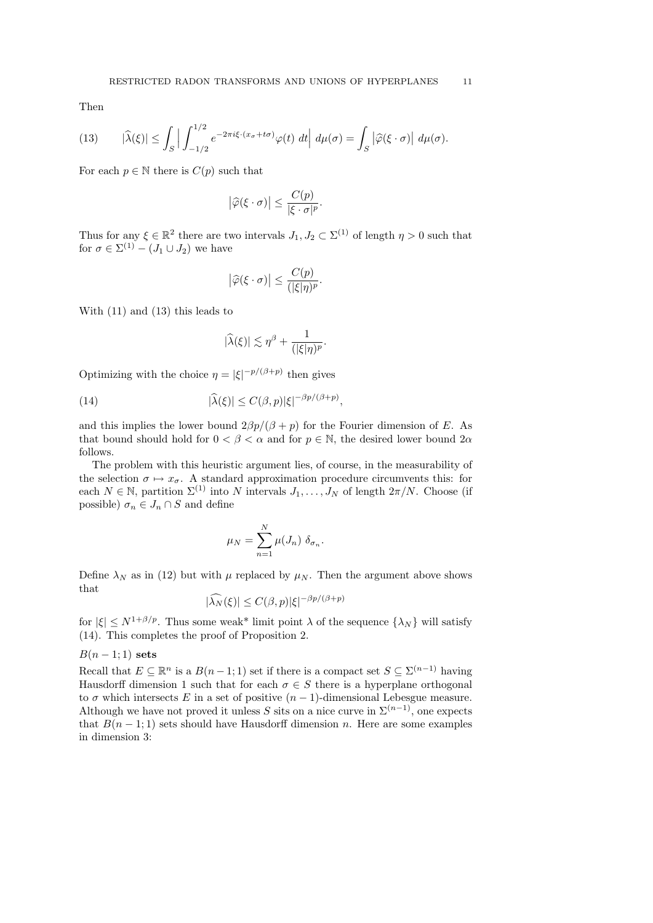Then

(13) 
$$
|\widehat{\lambda}(\xi)| \leq \int_{S} \left| \int_{-1/2}^{1/2} e^{-2\pi i \xi \cdot (x_{\sigma} + t\sigma)} \varphi(t) dt \right| d\mu(\sigma) = \int_{S} \left| \widehat{\varphi}(\xi \cdot \sigma) \right| d\mu(\sigma).
$$

For each  $p \in \mathbb{N}$  there is  $C(p)$  such that

$$
\left|\widehat{\varphi}(\xi \cdot \sigma)\right| \le \frac{C(p)}{|\xi \cdot \sigma|^p}
$$

.

Thus for any  $\xi \in \mathbb{R}^2$  there are two intervals  $J_1, J_2 \subset \Sigma^{(1)}$  of length  $\eta > 0$  such that for  $\sigma \in \Sigma^{(1)} - (J_1 \cup J_2)$  we have

$$
\left|\widehat{\varphi}(\xi \cdot \sigma)\right| \leq \frac{C(p)}{(|\xi|\eta)^p}.
$$

With (11) and (13) this leads to

$$
|\widehat{\lambda}(\xi)| \lesssim \eta^{\beta} + \frac{1}{(|\xi|\eta)^p}.
$$

Optimizing with the choice  $\eta = |\xi|^{-p/(\beta+p)}$  then gives

(14) 
$$
|\widehat{\lambda}(\xi)| \le C(\beta, p) |\xi|^{-\beta p/(\beta+p)},
$$

and this implies the lower bound  $2\beta p/(\beta + p)$  for the Fourier dimension of E. As that bound should hold for  $0 < \beta < \alpha$  and for  $p \in \mathbb{N}$ , the desired lower bound  $2\alpha$ follows.

The problem with this heuristic argument lies, of course, in the measurability of the selection  $\sigma \mapsto x_{\sigma}$ . A standard approximation procedure circumvents this: for each  $N \in \mathbb{N}$ , partition  $\Sigma^{(1)}$  into N intervals  $J_1, \ldots, J_N$  of length  $2\pi/N$ . Choose (if possible)  $\sigma_n \in J_n \cap S$  and define

$$
\mu_N = \sum_{n=1}^N \mu(J_n) \; \delta_{\sigma_n}.
$$

Define  $\lambda_N$  as in (12) but with  $\mu$  replaced by  $\mu_N$ . Then the argument above shows that

$$
|\widehat{\lambda_N}(\xi)| \le C(\beta, p)|\xi|^{-\beta p/(\beta+p)}
$$

for  $|\xi| \leq N^{1+\beta/p}$ . Thus some weak\* limit point  $\lambda$  of the sequence  $\{\lambda_N\}$  will satisfy (14). This completes the proof of Proposition 2.

## $B(n-1;1)$  sets

Recall that  $E \subseteq \mathbb{R}^n$  is a  $B(n-1,1)$  set if there is a compact set  $S \subseteq \Sigma^{(n-1)}$  having Hausdorff dimension 1 such that for each  $\sigma \in S$  there is a hyperplane orthogonal to  $\sigma$  which intersects E in a set of positive  $(n-1)$ -dimensional Lebesgue measure. Although we have not proved it unless S sits on a nice curve in  $\Sigma^{(n-1)}$ , one expects that  $B(n-1;1)$  sets should have Hausdorff dimension n. Here are some examples in dimension 3: